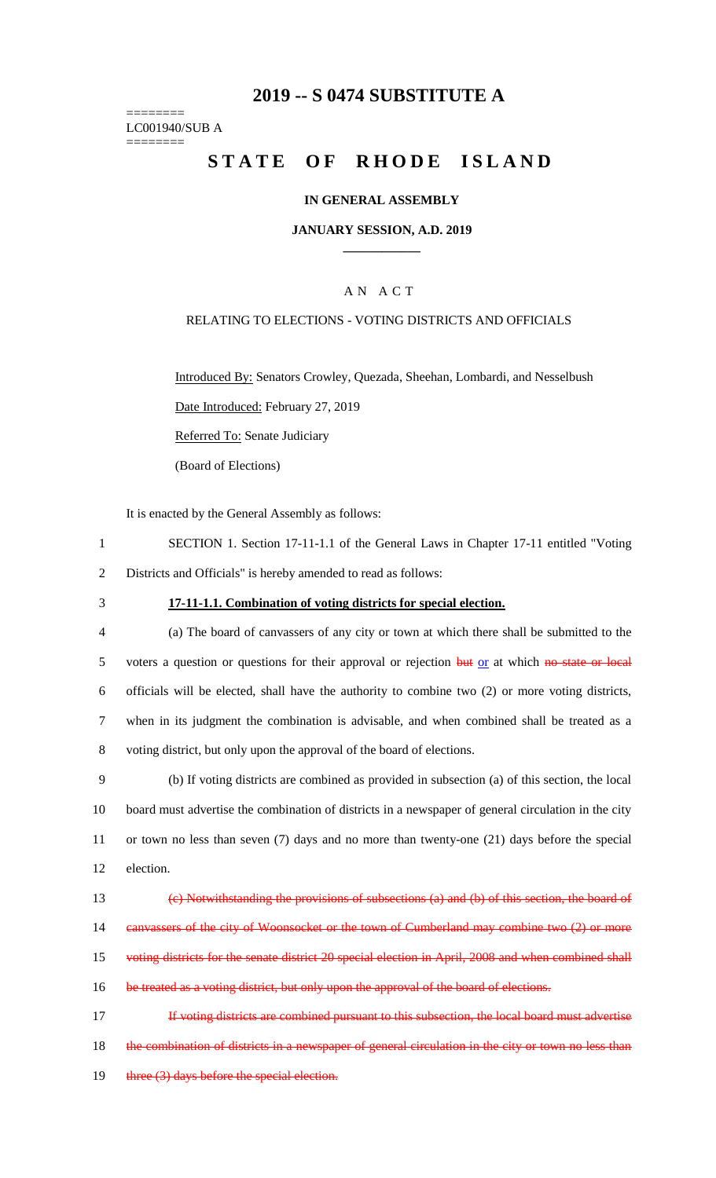## **2019 -- S 0474 SUBSTITUTE A**

======== LC001940/SUB A ========

# STATE OF RHODE ISLAND

## **IN GENERAL ASSEMBLY**

## **JANUARY SESSION, A.D. 2019 \_\_\_\_\_\_\_\_\_\_\_\_**

## A N A C T

### RELATING TO ELECTIONS - VOTING DISTRICTS AND OFFICIALS

Introduced By: Senators Crowley, Quezada, Sheehan, Lombardi, and Nesselbush

Date Introduced: February 27, 2019

Referred To: Senate Judiciary

(Board of Elections)

It is enacted by the General Assembly as follows:

- 1 SECTION 1. Section 17-11-1.1 of the General Laws in Chapter 17-11 entitled "Voting 2 Districts and Officials" is hereby amended to read as follows:
- 

#### 3 **17-11-1.1. Combination of voting districts for special election.**

- 4 (a) The board of canvassers of any city or town at which there shall be submitted to the 5 voters a question or questions for their approval or rejection but or at which no state or local 6 officials will be elected, shall have the authority to combine two (2) or more voting districts, 7 when in its judgment the combination is advisable, and when combined shall be treated as a 8 voting district, but only upon the approval of the board of elections.
- 9 (b) If voting districts are combined as provided in subsection (a) of this section, the local 10 board must advertise the combination of districts in a newspaper of general circulation in the city 11 or town no less than seven (7) days and no more than twenty-one (21) days before the special 12 election.

|    | (e) Notwithstanding the provisions of subsections (a) and (b) of this section, the board of         |
|----|-----------------------------------------------------------------------------------------------------|
| 14 | eanvassers of the city of Woonsocket or the town of Cumberland may combine two (2) or more          |
| 15 | voting districts for the senate district 20 special election in April, 2008 and when combined shall |
| 16 | be treated as a voting district, but only upon the approval of the board of elections.              |
|    | If voting districts are combined pursuant to this subsection, the local board must advertise        |
| 18 | the combination of districts in a newspaper of general circulation in the city or town no less      |

19 three (3) days before the special election.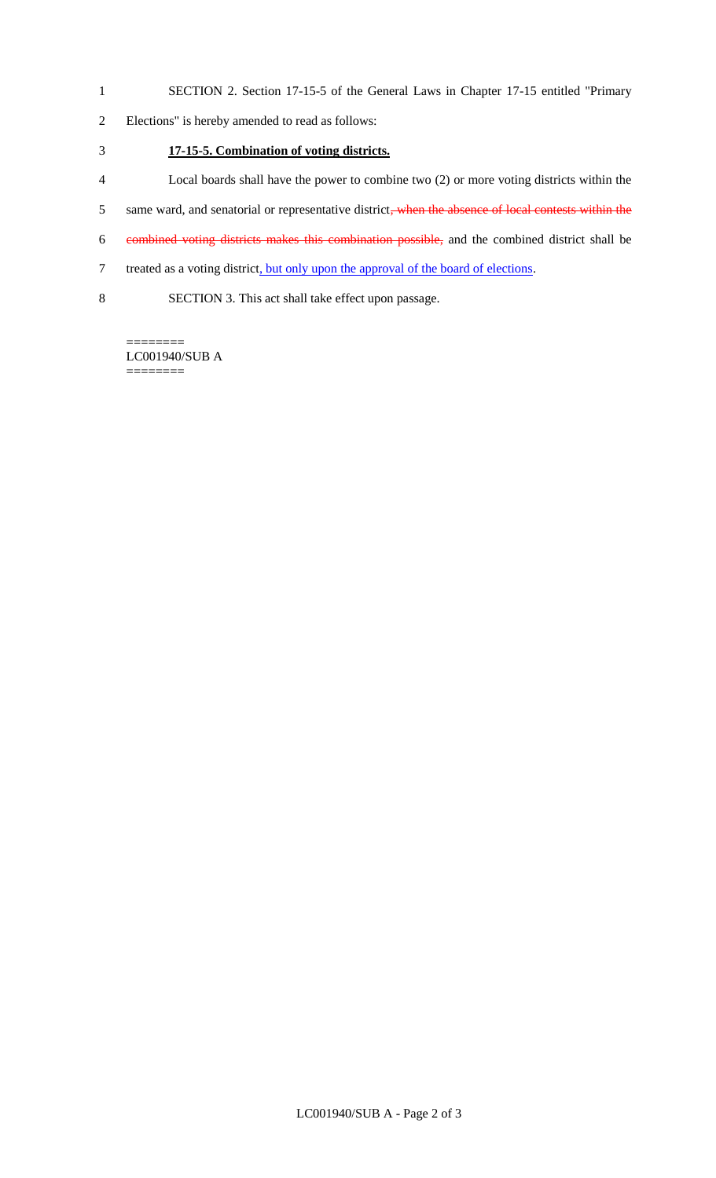- 1 SECTION 2. Section 17-15-5 of the General Laws in Chapter 17-15 entitled "Primary
- 2 Elections" is hereby amended to read as follows:
- 3 **17-15-5. Combination of voting districts.**
- 4 Local boards shall have the power to combine two (2) or more voting districts within the
- 5 same ward, and senatorial or representative district, when the absence of local contests within the
- 6 combined voting districts makes this combination possible, and the combined district shall be
- 7 treated as a voting district, but only upon the approval of the board of elections.
- 8 SECTION 3. This act shall take effect upon passage.

======== LC001940/SUB A ========